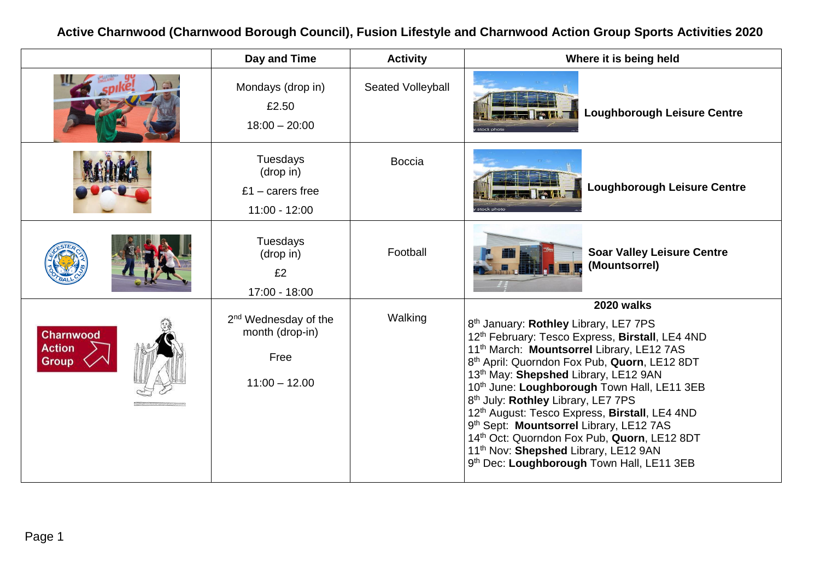**being held Lough Leisure Centre Loughborough Leisure Centre Valley Leisure Centre (Mountsorrel) 2020 walks** E7 7PS Birstall, LE4 4ND 11th March: **Mountsorrel** Library, LE12 7AS uorn, LE12 8DT E12 9AN vn Hall, LE11 3EB<br><sup>7</sup>PS irstall, LE4 4ND **LE12 7AS** tuorn, LE12 8DT E12 9AN Hall, LE11 3EB

# **Active Charnwood (Charnwood Borough Council), Fusion Lifestyle and Charnwood Action Group Sports Activities 2020**

|                                     | Day and Time                                                                   | <b>Activity</b>          | Where it is be                                                                                                                                                                                                                                                                                                                                                                                                                                                                                                                   |
|-------------------------------------|--------------------------------------------------------------------------------|--------------------------|----------------------------------------------------------------------------------------------------------------------------------------------------------------------------------------------------------------------------------------------------------------------------------------------------------------------------------------------------------------------------------------------------------------------------------------------------------------------------------------------------------------------------------|
|                                     | Mondays (drop in)<br>£2.50<br>$18:00 - 20:00$                                  | <b>Seated Volleyball</b> | Loughbor<br>stock photo                                                                                                                                                                                                                                                                                                                                                                                                                                                                                                          |
|                                     | <b>Tuesdays</b><br>(drop in)<br>£1 – carers free<br>$11:00 - 12:00$            | <b>Boccia</b>            | Loughbo<br>tock photo                                                                                                                                                                                                                                                                                                                                                                                                                                                                                                            |
|                                     | <b>Tuesdays</b><br>(drop in)<br>£2<br>17:00 - 18:00                            | Football                 | <b>Soar Vall</b><br>(Mountso                                                                                                                                                                                                                                                                                                                                                                                                                                                                                                     |
| Charnwood<br><b>Action</b><br>Group | 2 <sup>nd</sup> Wednesday of the<br>month (drop-in)<br>Free<br>$11:00 - 12.00$ | Walking                  | 2020 wa<br>8 <sup>th</sup> January: Rothley Library, LE7<br>12th February: Tesco Express, Bir<br>11 <sup>th</sup> March: Mountsorrel Library,<br>8 <sup>th</sup> April: Quorndon Fox Pub, Quor<br>13th May: Shepshed Library, LE12<br>10th June: Loughborough Town H<br>8 <sup>th</sup> July: Rothley Library, LE7 7PS<br>12th August: Tesco Express, Birst<br>9 <sup>th</sup> Sept: Mountsorrel Library, LE<br>14th Oct: Quorndon Fox Pub, Quo<br>11 <sup>th</sup> Nov: Shepshed Library, LE12<br>9th Dec: Loughborough Town Ha |